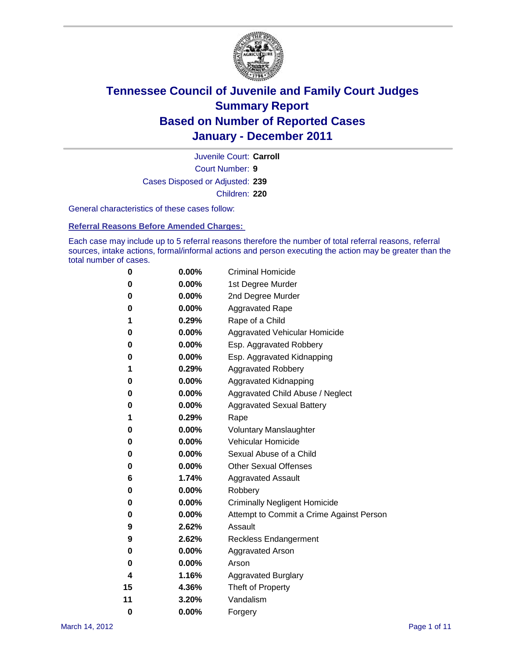

Court Number: **9** Juvenile Court: **Carroll** Cases Disposed or Adjusted: **239** Children: **220**

General characteristics of these cases follow:

**Referral Reasons Before Amended Charges:** 

Each case may include up to 5 referral reasons therefore the number of total referral reasons, referral sources, intake actions, formal/informal actions and person executing the action may be greater than the total number of cases.

| 0  | 0.00%    | <b>Criminal Homicide</b>                 |
|----|----------|------------------------------------------|
| 0  | 0.00%    | 1st Degree Murder                        |
| 0  | 0.00%    | 2nd Degree Murder                        |
| 0  | 0.00%    | <b>Aggravated Rape</b>                   |
| 1  | 0.29%    | Rape of a Child                          |
| 0  | 0.00%    | Aggravated Vehicular Homicide            |
| 0  | 0.00%    | Esp. Aggravated Robbery                  |
| 0  | 0.00%    | Esp. Aggravated Kidnapping               |
| 1  | 0.29%    | <b>Aggravated Robbery</b>                |
| 0  | 0.00%    | Aggravated Kidnapping                    |
| 0  | 0.00%    | Aggravated Child Abuse / Neglect         |
| 0  | $0.00\%$ | <b>Aggravated Sexual Battery</b>         |
| 1  | 0.29%    | Rape                                     |
| 0  | $0.00\%$ | <b>Voluntary Manslaughter</b>            |
| 0  | 0.00%    | Vehicular Homicide                       |
| 0  | 0.00%    | Sexual Abuse of a Child                  |
| 0  | 0.00%    | <b>Other Sexual Offenses</b>             |
| 6  | 1.74%    | <b>Aggravated Assault</b>                |
| 0  | $0.00\%$ | Robbery                                  |
| 0  | 0.00%    | <b>Criminally Negligent Homicide</b>     |
| 0  | 0.00%    | Attempt to Commit a Crime Against Person |
| 9  | 2.62%    | Assault                                  |
| 9  | 2.62%    | <b>Reckless Endangerment</b>             |
| 0  | 0.00%    | <b>Aggravated Arson</b>                  |
| 0  | 0.00%    | Arson                                    |
| 4  | 1.16%    | <b>Aggravated Burglary</b>               |
| 15 | 4.36%    | Theft of Property                        |
| 11 | 3.20%    | Vandalism                                |
| 0  | 0.00%    | Forgery                                  |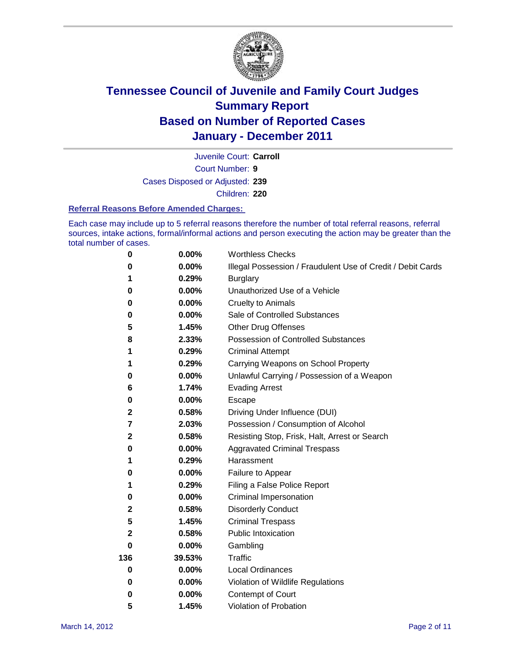

Court Number: **9** Juvenile Court: **Carroll** Cases Disposed or Adjusted: **239**

Children: **220**

### **Referral Reasons Before Amended Charges:**

Each case may include up to 5 referral reasons therefore the number of total referral reasons, referral sources, intake actions, formal/informal actions and person executing the action may be greater than the total number of cases.

| $\pmb{0}$               | 0.00%    | <b>Worthless Checks</b>                                     |
|-------------------------|----------|-------------------------------------------------------------|
| 0                       | 0.00%    | Illegal Possession / Fraudulent Use of Credit / Debit Cards |
| 1                       | 0.29%    | <b>Burglary</b>                                             |
| 0                       | $0.00\%$ | Unauthorized Use of a Vehicle                               |
| 0                       | $0.00\%$ | <b>Cruelty to Animals</b>                                   |
| 0                       | $0.00\%$ | Sale of Controlled Substances                               |
| 5                       | 1.45%    | <b>Other Drug Offenses</b>                                  |
| 8                       | 2.33%    | Possession of Controlled Substances                         |
| 1                       | 0.29%    | <b>Criminal Attempt</b>                                     |
| 1                       | 0.29%    | Carrying Weapons on School Property                         |
| 0                       | $0.00\%$ | Unlawful Carrying / Possession of a Weapon                  |
| 6                       | 1.74%    | <b>Evading Arrest</b>                                       |
| 0                       | 0.00%    | Escape                                                      |
| 2                       | 0.58%    | Driving Under Influence (DUI)                               |
| $\overline{\mathbf{r}}$ | 2.03%    | Possession / Consumption of Alcohol                         |
| $\mathbf 2$             | 0.58%    | Resisting Stop, Frisk, Halt, Arrest or Search               |
| 0                       | $0.00\%$ | <b>Aggravated Criminal Trespass</b>                         |
| 1                       | 0.29%    | Harassment                                                  |
| 0                       | 0.00%    | Failure to Appear                                           |
| 1                       | 0.29%    | Filing a False Police Report                                |
| 0                       | 0.00%    | Criminal Impersonation                                      |
| 2                       | 0.58%    | <b>Disorderly Conduct</b>                                   |
| 5                       | 1.45%    | <b>Criminal Trespass</b>                                    |
| 2                       | 0.58%    | Public Intoxication                                         |
| 0                       | $0.00\%$ | Gambling                                                    |
| 136                     | 39.53%   | <b>Traffic</b>                                              |
| 0                       | $0.00\%$ | <b>Local Ordinances</b>                                     |
| 0                       | $0.00\%$ | Violation of Wildlife Regulations                           |
| 0                       | $0.00\%$ | Contempt of Court                                           |
| 5                       | 1.45%    | Violation of Probation                                      |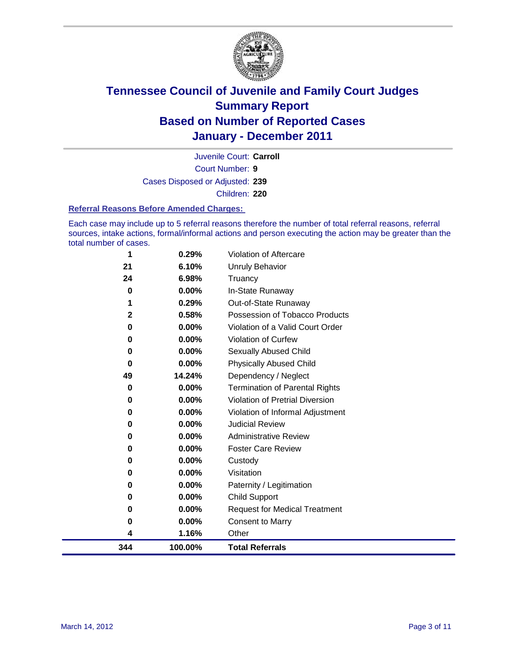

Court Number: **9** Juvenile Court: **Carroll** Cases Disposed or Adjusted: **239** Children: **220**

#### **Referral Reasons Before Amended Charges:**

Each case may include up to 5 referral reasons therefore the number of total referral reasons, referral sources, intake actions, formal/informal actions and person executing the action may be greater than the total number of cases.

| 344          | 100.00%        | <b>Total Referrals</b>                                 |
|--------------|----------------|--------------------------------------------------------|
| 4            | 1.16%          | Other                                                  |
| 0            | 0.00%          | <b>Consent to Marry</b>                                |
| 0            | $0.00\%$       | <b>Request for Medical Treatment</b>                   |
| 0            | $0.00\%$       | <b>Child Support</b>                                   |
| 0            | $0.00\%$       | Paternity / Legitimation                               |
| 0            | 0.00%          | Visitation                                             |
| 0            | $0.00\%$       | Custody                                                |
| 0            | $0.00\%$       | <b>Foster Care Review</b>                              |
| 0            | $0.00\%$       | <b>Administrative Review</b>                           |
| 0            | 0.00%          | <b>Judicial Review</b>                                 |
| 0            | 0.00%          | Violation of Informal Adjustment                       |
| 0            | $0.00\%$       | <b>Violation of Pretrial Diversion</b>                 |
| $\bf{0}$     | $0.00\%$       | <b>Termination of Parental Rights</b>                  |
| 49           | 14.24%         | Dependency / Neglect                                   |
| 0            | 0.00%          | <b>Physically Abused Child</b>                         |
| 0            | $0.00\%$       | Sexually Abused Child                                  |
| $\bf{0}$     | $0.00\%$       | <b>Violation of Curfew</b>                             |
| 0            | 0.58%<br>0.00% | Violation of a Valid Court Order                       |
| $\mathbf{2}$ | 0.29%          | Out-of-State Runaway<br>Possession of Tobacco Products |
| 0            | $0.00\%$       | In-State Runaway                                       |
| 24           | 6.98%          | Truancy                                                |
| 21           | 6.10%          | Unruly Behavior                                        |
| 1            | 0.29%          | Violation of Aftercare                                 |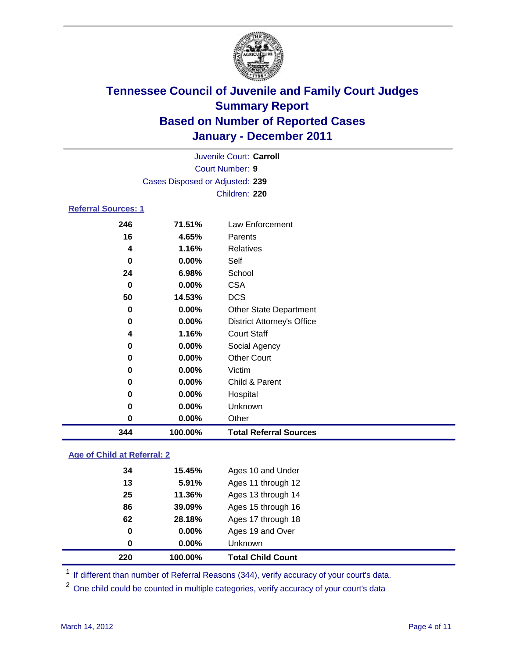

|                            |                                 | Juvenile Court: Carroll           |  |
|----------------------------|---------------------------------|-----------------------------------|--|
|                            |                                 | <b>Court Number: 9</b>            |  |
|                            | Cases Disposed or Adjusted: 239 |                                   |  |
|                            |                                 | Children: 220                     |  |
| <b>Referral Sources: 1</b> |                                 |                                   |  |
| 246                        | 71.51%                          | Law Enforcement                   |  |
| 16                         | 4.65%                           | Parents                           |  |
| 4                          | 1.16%                           | <b>Relatives</b>                  |  |
| $\bf{0}$                   | $0.00\%$                        | Self                              |  |
| 24                         | 6.98%                           | School                            |  |
| $\mathbf 0$                | 0.00%                           | <b>CSA</b>                        |  |
| 50                         | 14.53%                          | <b>DCS</b>                        |  |
| $\bf{0}$                   | 0.00%                           | <b>Other State Department</b>     |  |
| 0                          | 0.00%                           | <b>District Attorney's Office</b> |  |
| 4                          | 1.16%                           | <b>Court Staff</b>                |  |
| 0                          | 0.00%                           | Social Agency                     |  |
| 0                          | 0.00%                           | <b>Other Court</b>                |  |
| 0                          | 0.00%                           | Victim                            |  |
| 0                          | $0.00\%$                        | Child & Parent                    |  |
| 0                          | $0.00\%$                        | Hospital                          |  |
| 0                          | $0.00\%$                        | Unknown                           |  |
| 0                          | 0.00%                           | Other                             |  |
| 344                        | 100.00%                         | <b>Total Referral Sources</b>     |  |

### **Age of Child at Referral: 2**

| 220 | 100.00%  | <b>Total Child Count</b> |
|-----|----------|--------------------------|
| 0   | $0.00\%$ | <b>Unknown</b>           |
| 0   | 0.00%    | Ages 19 and Over         |
| 62  | 28.18%   | Ages 17 through 18       |
| 86  | 39.09%   | Ages 15 through 16       |
| 25  | 11.36%   | Ages 13 through 14       |
| 13  | 5.91%    | Ages 11 through 12       |
| 34  | 15.45%   | Ages 10 and Under        |
|     |          |                          |

<sup>1</sup> If different than number of Referral Reasons (344), verify accuracy of your court's data.

<sup>2</sup> One child could be counted in multiple categories, verify accuracy of your court's data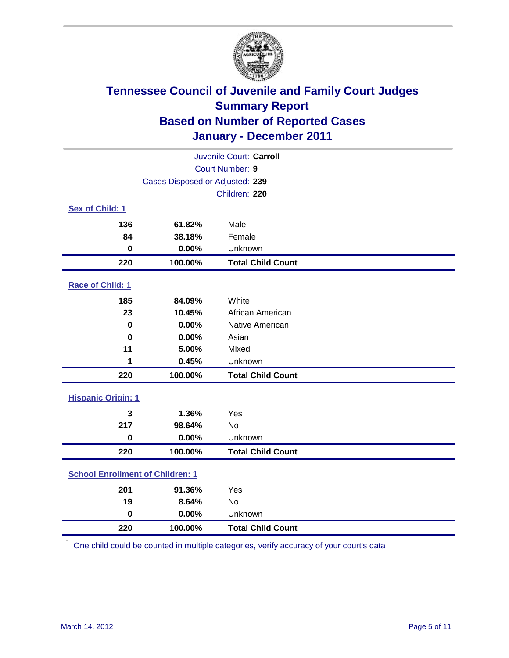

|                                         | Juvenile Court: Carroll         |                          |  |  |
|-----------------------------------------|---------------------------------|--------------------------|--|--|
| Court Number: 9                         |                                 |                          |  |  |
|                                         | Cases Disposed or Adjusted: 239 |                          |  |  |
|                                         |                                 | Children: 220            |  |  |
| Sex of Child: 1                         |                                 |                          |  |  |
| 136                                     | 61.82%                          | Male                     |  |  |
| 84                                      | 38.18%                          | Female                   |  |  |
| $\mathbf 0$                             | 0.00%                           | Unknown                  |  |  |
| 220                                     | 100.00%                         | <b>Total Child Count</b> |  |  |
| Race of Child: 1                        |                                 |                          |  |  |
| 185                                     | 84.09%                          | White                    |  |  |
| 23                                      | 10.45%                          | African American         |  |  |
| $\mathbf 0$                             | 0.00%                           | Native American          |  |  |
| $\bf{0}$                                | 0.00%                           | Asian                    |  |  |
| 11                                      | 5.00%                           | Mixed                    |  |  |
| 1                                       | 0.45%                           | Unknown                  |  |  |
| 220                                     | 100.00%                         | <b>Total Child Count</b> |  |  |
| <b>Hispanic Origin: 1</b>               |                                 |                          |  |  |
| 3                                       | 1.36%                           | Yes                      |  |  |
| 217                                     | 98.64%                          | <b>No</b>                |  |  |
| $\mathbf 0$                             | 0.00%                           | Unknown                  |  |  |
| 220                                     | 100.00%                         | <b>Total Child Count</b> |  |  |
| <b>School Enrollment of Children: 1</b> |                                 |                          |  |  |
| 201                                     | 91.36%                          | Yes                      |  |  |
| 19                                      | 8.64%                           | No                       |  |  |
| $\mathbf 0$                             | 0.00%                           | Unknown                  |  |  |
| 220                                     | 100.00%                         | <b>Total Child Count</b> |  |  |

One child could be counted in multiple categories, verify accuracy of your court's data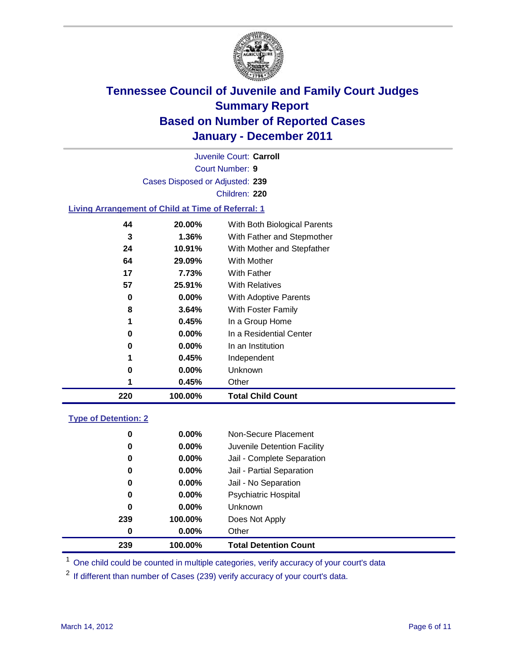

Court Number: **9** Juvenile Court: **Carroll** Cases Disposed or Adjusted: **239** Children: **220**

### **Living Arrangement of Child at Time of Referral: 1**

| 220 | 100.00%  | <b>Total Child Count</b>     |
|-----|----------|------------------------------|
| 1   | 0.45%    | Other                        |
| 0   | 0.00%    | Unknown                      |
| 1   | 0.45%    | Independent                  |
| 0   | 0.00%    | In an Institution            |
| 0   | $0.00\%$ | In a Residential Center      |
| 1   | 0.45%    | In a Group Home              |
| 8   | 3.64%    | With Foster Family           |
| 0   | 0.00%    | <b>With Adoptive Parents</b> |
| 57  | 25.91%   | <b>With Relatives</b>        |
| 17  | 7.73%    | With Father                  |
| 64  | 29.09%   | With Mother                  |
| 24  | 10.91%   | With Mother and Stepfather   |
| 3   | 1.36%    | With Father and Stepmother   |
| 44  | 20.00%   | With Both Biological Parents |
|     |          |                              |

### **Type of Detention: 2**

| 239      | 100.00%  | <b>Total Detention Count</b> |  |
|----------|----------|------------------------------|--|
| $\bf{0}$ | $0.00\%$ | Other                        |  |
| 239      | 100.00%  | Does Not Apply               |  |
| 0        | $0.00\%$ | <b>Unknown</b>               |  |
| 0        | 0.00%    | <b>Psychiatric Hospital</b>  |  |
| 0        | 0.00%    | Jail - No Separation         |  |
| 0        | $0.00\%$ | Jail - Partial Separation    |  |
| 0        | $0.00\%$ | Jail - Complete Separation   |  |
| 0        | 0.00%    | Juvenile Detention Facility  |  |
| 0        | $0.00\%$ | Non-Secure Placement         |  |
|          |          |                              |  |

<sup>1</sup> One child could be counted in multiple categories, verify accuracy of your court's data

<sup>2</sup> If different than number of Cases (239) verify accuracy of your court's data.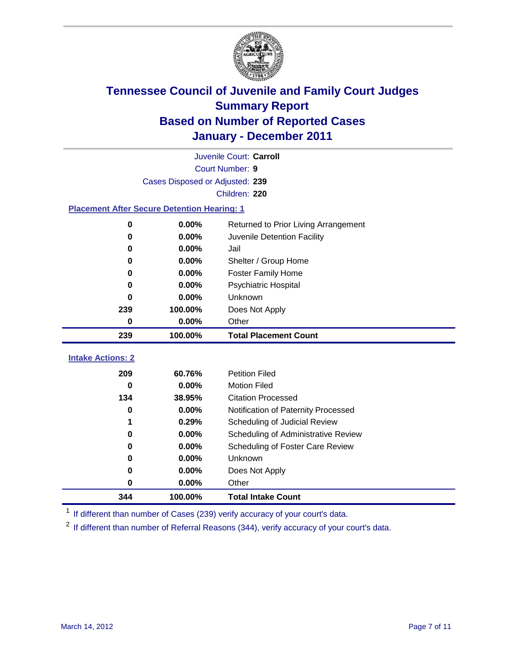

|                                                    | Juvenile Court: Carroll         |                                      |  |  |
|----------------------------------------------------|---------------------------------|--------------------------------------|--|--|
|                                                    | Court Number: 9                 |                                      |  |  |
|                                                    | Cases Disposed or Adjusted: 239 |                                      |  |  |
|                                                    |                                 | Children: 220                        |  |  |
| <b>Placement After Secure Detention Hearing: 1</b> |                                 |                                      |  |  |
| 0                                                  | 0.00%                           | Returned to Prior Living Arrangement |  |  |
| $\bf{0}$                                           | 0.00%                           | Juvenile Detention Facility          |  |  |
| 0                                                  | 0.00%                           | Jail                                 |  |  |
| 0                                                  | 0.00%                           | Shelter / Group Home                 |  |  |
| 0                                                  | 0.00%                           | Foster Family Home                   |  |  |
| $\bf{0}$                                           | 0.00%                           | <b>Psychiatric Hospital</b>          |  |  |
| 0                                                  | 0.00%                           | Unknown                              |  |  |
| 239                                                | 100.00%                         | Does Not Apply                       |  |  |
| $\bf{0}$                                           | 0.00%                           | Other                                |  |  |
| 239                                                | 100.00%                         | <b>Total Placement Count</b>         |  |  |
| <b>Intake Actions: 2</b>                           |                                 |                                      |  |  |
|                                                    |                                 |                                      |  |  |
| 209                                                | 60.76%                          | <b>Petition Filed</b>                |  |  |
| $\bf{0}$                                           | 0.00%                           | <b>Motion Filed</b>                  |  |  |
| 134                                                | 38.95%                          | <b>Citation Processed</b>            |  |  |
| 0                                                  | 0.00%                           | Notification of Paternity Processed  |  |  |
| 1                                                  | 0.29%                           | Scheduling of Judicial Review        |  |  |
| 0                                                  | 0.00%                           | Scheduling of Administrative Review  |  |  |
| 0                                                  | 0.00%                           | Scheduling of Foster Care Review     |  |  |
| 0                                                  | 0.00%                           | Unknown                              |  |  |
| 0                                                  | 0.00%                           | Does Not Apply                       |  |  |
| 0                                                  | 0.00%                           | Other                                |  |  |
| 344                                                | 100.00%                         | <b>Total Intake Count</b>            |  |  |

<sup>1</sup> If different than number of Cases (239) verify accuracy of your court's data.

<sup>2</sup> If different than number of Referral Reasons (344), verify accuracy of your court's data.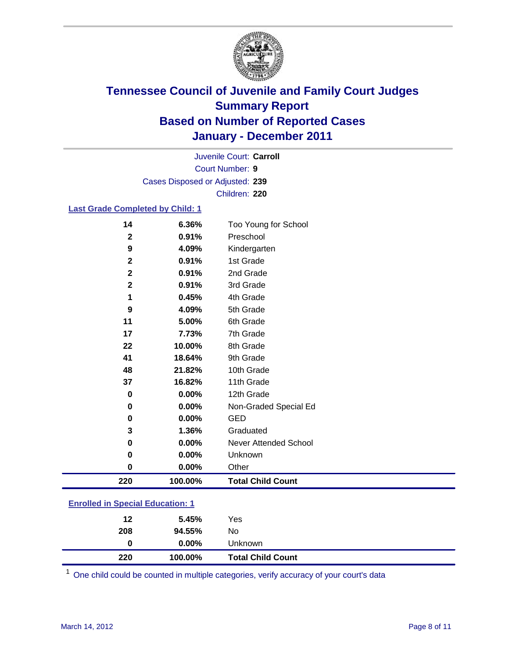

Court Number: **9** Juvenile Court: **Carroll** Cases Disposed or Adjusted: **239** Children: **220**

### **Last Grade Completed by Child: 1**

| 0<br>0.00%<br>0                     | Non-Graded Special Ed<br><b>GED</b> |
|-------------------------------------|-------------------------------------|
| 0.00%<br>0.00%                      |                                     |
| 37<br>16.82%<br>0                   | 11th Grade<br>12th Grade            |
| 48<br>21.82%                        | 10th Grade                          |
| 41<br>18.64%                        | 9th Grade                           |
| 22<br>10.00%                        | 8th Grade                           |
| 17<br>7.73%                         | 7th Grade                           |
| 11<br>5.00%                         | 6th Grade                           |
| 4.09%<br>9                          | 5th Grade                           |
| 0.45%<br>1                          | 4th Grade                           |
| $\mathbf{2}$<br>0.91%               | 3rd Grade                           |
| $\mathbf 2$<br>0.91%                | 2nd Grade                           |
| $\mathbf{2}$<br>0.91%               | 1st Grade                           |
| $\mathbf{2}$<br>0.91%<br>9<br>4.09% | Preschool<br>Kindergarten           |
| 14<br>6.36%                         | Too Young for School                |

#### **Enrolled in Special Education: 1**

| 220 | 100.00%  | <b>Total Child Count</b> |  |
|-----|----------|--------------------------|--|
| 0   | $0.00\%$ | Unknown                  |  |
| 208 | 94.55%   | No.                      |  |
| 12  | 5.45%    | Yes                      |  |
|     |          |                          |  |

One child could be counted in multiple categories, verify accuracy of your court's data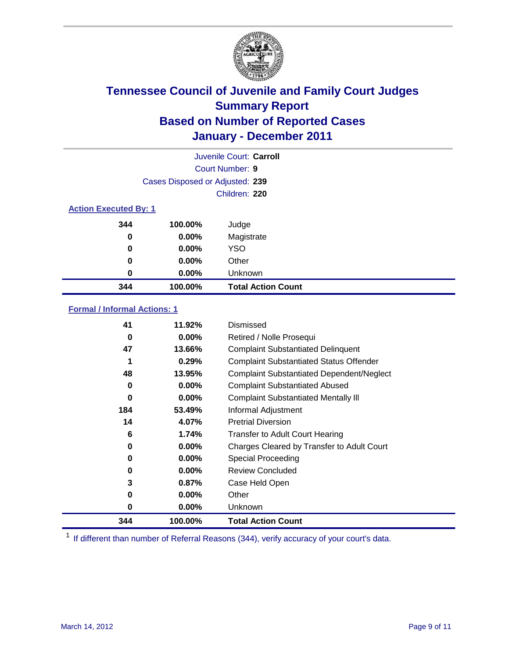

|                              |                                 | Juvenile Court: Carroll   |  |
|------------------------------|---------------------------------|---------------------------|--|
| <b>Court Number: 9</b>       |                                 |                           |  |
|                              | Cases Disposed or Adjusted: 239 |                           |  |
|                              |                                 | Children: 220             |  |
| <b>Action Executed By: 1</b> |                                 |                           |  |
| 344                          | 100.00%                         | Judge                     |  |
| 0                            | $0.00\%$                        | Magistrate                |  |
| 0                            | $0.00\%$                        | <b>YSO</b>                |  |
| 0                            | $0.00\%$                        | Other                     |  |
| 0                            | 0.00%                           | Unknown                   |  |
| 344                          | 100.00%                         | <b>Total Action Count</b> |  |

### **Formal / Informal Actions: 1**

| 41  | 11.92%   | Dismissed                                        |
|-----|----------|--------------------------------------------------|
| 0   | $0.00\%$ | Retired / Nolle Prosequi                         |
| 47  | 13.66%   | <b>Complaint Substantiated Delinquent</b>        |
|     | 0.29%    | <b>Complaint Substantiated Status Offender</b>   |
| 48  | 13.95%   | <b>Complaint Substantiated Dependent/Neglect</b> |
| 0   | $0.00\%$ | <b>Complaint Substantiated Abused</b>            |
| 0   | $0.00\%$ | <b>Complaint Substantiated Mentally III</b>      |
| 184 | 53.49%   | Informal Adjustment                              |
| 14  | 4.07%    | <b>Pretrial Diversion</b>                        |
| 6   | 1.74%    | <b>Transfer to Adult Court Hearing</b>           |
| 0   | $0.00\%$ | Charges Cleared by Transfer to Adult Court       |
| 0   | $0.00\%$ | <b>Special Proceeding</b>                        |
| 0   | $0.00\%$ | <b>Review Concluded</b>                          |
| 3   | 0.87%    | Case Held Open                                   |
| 0   | $0.00\%$ | Other                                            |
| 0   | $0.00\%$ | Unknown                                          |
| 344 | 100.00%  | <b>Total Action Count</b>                        |

<sup>1</sup> If different than number of Referral Reasons (344), verify accuracy of your court's data.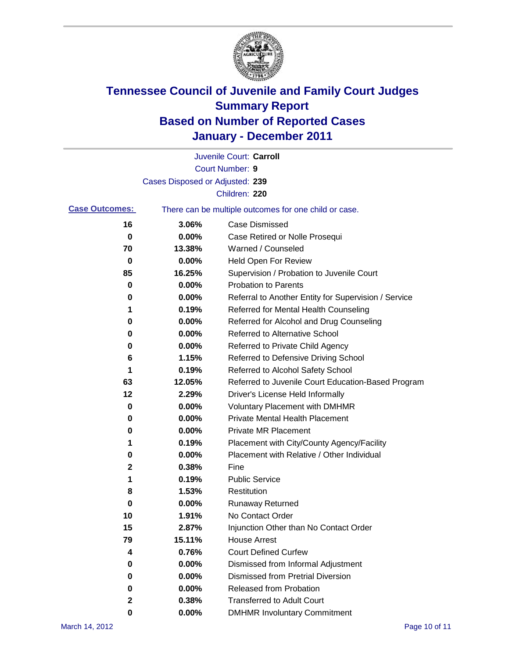

|                       |                                 | Juvenile Court: Carroll                               |
|-----------------------|---------------------------------|-------------------------------------------------------|
|                       |                                 | <b>Court Number: 9</b>                                |
|                       | Cases Disposed or Adjusted: 239 |                                                       |
|                       |                                 | Children: 220                                         |
| <b>Case Outcomes:</b> |                                 | There can be multiple outcomes for one child or case. |
| 16                    | 3.06%                           | <b>Case Dismissed</b>                                 |
| 0                     | 0.00%                           | Case Retired or Nolle Prosequi                        |
| 70                    | 13.38%                          | Warned / Counseled                                    |
| 0                     | 0.00%                           | Held Open For Review                                  |
| 85                    | 16.25%                          | Supervision / Probation to Juvenile Court             |
| 0                     | 0.00%                           | <b>Probation to Parents</b>                           |
| 0                     | 0.00%                           | Referral to Another Entity for Supervision / Service  |
| 1                     | 0.19%                           | Referred for Mental Health Counseling                 |
| 0                     | 0.00%                           | Referred for Alcohol and Drug Counseling              |
| 0                     | 0.00%                           | <b>Referred to Alternative School</b>                 |
| 0                     | 0.00%                           | Referred to Private Child Agency                      |
| 6                     | 1.15%                           | Referred to Defensive Driving School                  |
| 1                     | 0.19%                           | Referred to Alcohol Safety School                     |
| 63                    | 12.05%                          | Referred to Juvenile Court Education-Based Program    |
| 12                    | 2.29%                           | Driver's License Held Informally                      |
| 0                     | 0.00%                           | <b>Voluntary Placement with DMHMR</b>                 |
| 0                     | 0.00%                           | <b>Private Mental Health Placement</b>                |
| 0                     | 0.00%                           | <b>Private MR Placement</b>                           |
| 1                     | 0.19%                           | Placement with City/County Agency/Facility            |
| 0                     | 0.00%                           | Placement with Relative / Other Individual            |
| 2                     | 0.38%                           | Fine                                                  |
| 1                     | 0.19%                           | <b>Public Service</b>                                 |
| 8                     | 1.53%                           | Restitution                                           |
| 0                     | 0.00%                           | <b>Runaway Returned</b>                               |
| 10                    | 1.91%                           | No Contact Order                                      |
| 15                    | 2.87%                           | Injunction Other than No Contact Order                |
| 79                    | 15.11%                          | <b>House Arrest</b>                                   |
| 4                     | 0.76%                           | <b>Court Defined Curfew</b>                           |
| 0                     | 0.00%                           | Dismissed from Informal Adjustment                    |
| 0                     | $0.00\%$                        | <b>Dismissed from Pretrial Diversion</b>              |
| 0                     | 0.00%                           | Released from Probation                               |
| 2                     | 0.38%                           | <b>Transferred to Adult Court</b>                     |
| 0                     | 0.00%                           | <b>DMHMR Involuntary Commitment</b>                   |